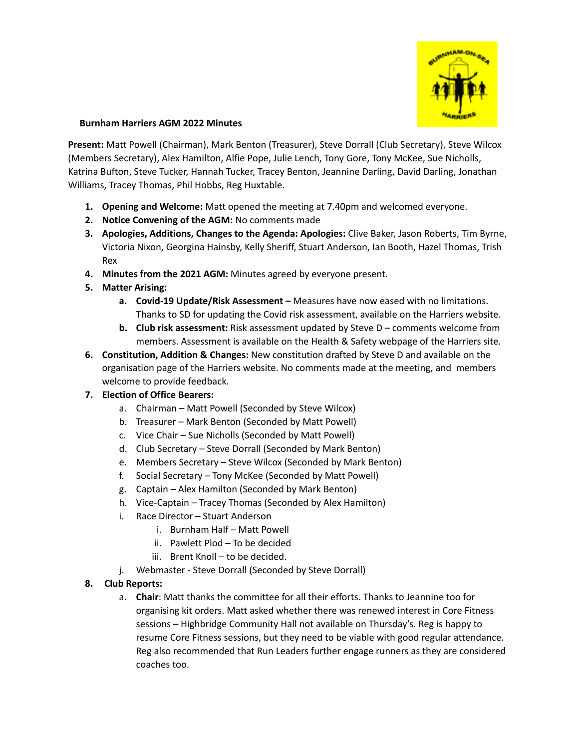

## **Burnham Harriers AGM 2022 Minutes**

**Present:** Matt Powell (Chairman), Mark Benton (Treasurer), Steve Dorrall (Club Secretary), Steve Wilcox (Members Secretary), Alex Hamilton, Alfie Pope, Julie Lench, Tony Gore, Tony McKee, Sue Nicholls, Katrina Bufton, Steve Tucker, Hannah Tucker, Tracey Benton, Jeannine Darling, David Darling, Jonathan Williams, Tracey Thomas, Phil Hobbs, Reg Huxtable.

- **1. Opening and Welcome:** Matt opened the meeting at 7.40pm and welcomed everyone.
- **2. Notice Convening of the AGM:** No comments made
- **3. Apologies, Additions, Changes to the Agenda: Apologies:** Clive Baker, Jason Roberts, Tim Byrne, Victoria Nixon, Georgina Hainsby, Kelly Sheriff, Stuart Anderson, Ian Booth, Hazel Thomas, Trish Rex
- **4. Minutes from the 2021 AGM:** Minutes agreed by everyone present.
- **5. Matter Arising:**
	- **a. Covid-19 Update/Risk Assessment –** Measures have now eased with no limitations. Thanks to SD for updating the Covid risk assessment, available on the Harriers website.
	- **b. Club risk assessment:** Risk assessment updated by Steve D comments welcome from members. Assessment is available on the Health & Safety webpage of the Harriers site.
- **6. Constitution, Addition & Changes:** New constitution drafted by Steve D and available on the organisation page of the Harriers website. No comments made at the meeting, and members welcome to provide feedback.
- **7. Election of Office Bearers:**
	- a. Chairman Matt Powell (Seconded by Steve Wilcox)
	- b. Treasurer Mark Benton (Seconded by Matt Powell)
	- c. Vice Chair Sue Nicholls (Seconded by Matt Powell)
	- d. Club Secretary Steve Dorrall (Seconded by Mark Benton)
	- e. Members Secretary Steve Wilcox (Seconded by Mark Benton)
	- f. Social Secretary Tony McKee (Seconded by Matt Powell)
	- g. Captain Alex Hamilton (Seconded by Mark Benton)
	- h. Vice-Captain Tracey Thomas (Seconded by Alex Hamilton)
	- i. Race Director Stuart Anderson
		- i. Burnham Half Matt Powell
		- ii. Pawlett Plod To be decided
		- iii. Brent Knoll to be decided.
	- j. Webmaster Steve Dorrall (Seconded by Steve Dorrall)

## **8. Club Reports:**

a. **Chair**: Matt thanks the committee for all their efforts. Thanks to Jeannine too for organising kit orders. Matt asked whether there was renewed interest in Core Fitness sessions – Highbridge Community Hall not available on Thursday's. Reg is happy to resume Core Fitness sessions, but they need to be viable with good regular attendance. Reg also recommended that Run Leaders further engage runners as they are considered coaches too.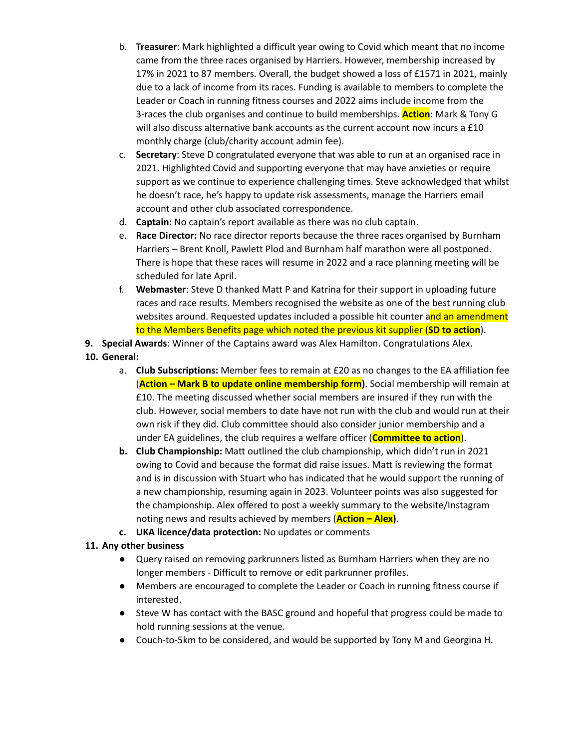- b. **Treasurer**: Mark highlighted a difficult year owing to Covid which meant that no income came from the three races organised by Harriers. However, membership increased by 17% in 2021 to 87 members. Overall, the budget showed a loss of £1571 in 2021, mainly due to a lack of income from its races. Funding is available to members to complete the Leader or Coach in running fitness courses and 2022 aims include income from the 3-races the club organises and continue to build memberships. **Action**: Mark & Tony G will also discuss alternative bank accounts as the current account now incurs a £10 monthly charge (club/charity account admin fee).
- c. **Secretary**: Steve D congratulated everyone that was able to run at an organised race in 2021. Highlighted Covid and supporting everyone that may have anxieties or require support as we continue to experience challenging times. Steve acknowledged that whilst he doesn't race, he's happy to update risk assessments, manage the Harriers email account and other club associated correspondence.
- d. **Captain:** No captain's report available as there was no club captain.
- e. **Race Director:** No race director reports because the three races organised by Burnham Harriers – Brent Knoll, Pawlett Plod and Burnham half marathon were all postponed. There is hope that these races will resume in 2022 and a race planning meeting will be scheduled for late April.
- f. **Webmaster**: Steve D thanked Matt P and Katrina for their support in uploading future races and race results. Members recognised the website as one of the best running club websites around. Requested updates included a possible hit counter and an amendment to the Members Benefits page which noted the previous kit supplier (**SD to action**).
- **9. Special Awards**: Winner of the Captains award was Alex Hamilton. Congratulations Alex.
- **10. General:**
	- a. **Club Subscriptions:** Member fees to remain at £20 as no changes to the EA affiliation fee (**Action – Mark B to update online membership form)**. Social membership will remain at £10. The meeting discussed whether social members are insured if they run with the club. However, social members to date have not run with the club and would run at their own risk if they did. Club committee should also consider junior membership and a under EA guidelines, the club requires a welfare officer (**Committee to action**).
	- **b. Club Championship:** Matt outlined the club championship, which didn't run in 2021 owing to Covid and because the format did raise issues. Matt is reviewing the format and is in discussion with Stuart who has indicated that he would support the running of a new championship, resuming again in 2023. Volunteer points was also suggested for the championship. Alex offered to post a weekly summary to the website/Instagram noting news and results achieved by members (**Action – Alex)**.
	- **c. UKA licence/data protection:** No updates or comments

## **11. Any other business**

- Query raised on removing parkrunners listed as Burnham Harriers when they are no longer members - Difficult to remove or edit parkrunner profiles.
- Members are encouraged to complete the Leader or Coach in running fitness course if interested.
- Steve W has contact with the BASC ground and hopeful that progress could be made to hold running sessions at the venue.
- Couch-to-5km to be considered, and would be supported by Tony M and Georgina H.